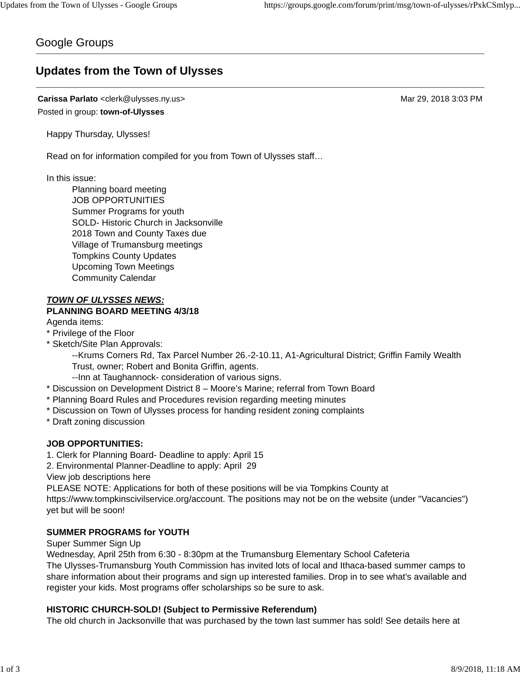# Google Groups

# **Updates from the Town of Ulysses**

**Carissa Parlato** <clerk@ulysses.ny.us> Mar 29, 2018 3:03 PM Posted in group: **town-of-Ulysses**

Happy Thursday, Ulysses!

Read on for information compiled for you from Town of Ulysses staff…

In this issue:

Planning board meeting JOB OPPORTUNITIES Summer Programs for youth SOLD- Historic Church in Jacksonville 2018 Town and County Taxes due Village of Trumansburg meetings Tompkins County Updates Upcoming Town Meetings Community Calendar

#### *TOWN OF ULYSSES NEWS:* **PLANNING BOARD MEETING 4/3/18**

Agenda items:

- \* Privilege of the Floor
- \* Sketch/Site Plan Approvals:

--Krums Corners Rd, Tax Parcel Number 26.-2-10.11, A1-Agricultural District; Griffin Family Wealth Trust, owner; Robert and Bonita Griffin, agents.

--Inn at Taughannock- consideration of various signs.

- \* Discussion on Development District 8 Moore's Marine; referral from Town Board
- \* Planning Board Rules and Procedures revision regarding meeting minutes
- \* Discussion on Town of Ulysses process for handing resident zoning complaints

\* Draft zoning discussion

### **JOB OPPORTUNITIES:**

1. Clerk for Planning Board- Deadline to apply: April 15

2. Environmental Planner-Deadline to apply: April 29

View job descriptions here

PLEASE NOTE: Applications for both of these positions will be via Tompkins County at

https://www.tompkinscivilservice.org/account. The positions may not be on the website (under "Vacancies") yet but will be soon!

#### **SUMMER PROGRAMS for YOUTH**

Super Summer Sign Up

Wednesday, April 25th from 6:30 - 8:30pm at the Trumansburg Elementary School Cafeteria The Ulysses-Trumansburg Youth Commission has invited lots of local and Ithaca-based summer camps to share information about their programs and sign up interested families. Drop in to see what's available and register your kids. Most programs offer scholarships so be sure to ask.

### **HISTORIC CHURCH-SOLD! (Subject to Permissive Referendum)**

The old church in Jacksonville that was purchased by the town last summer has sold! See details here at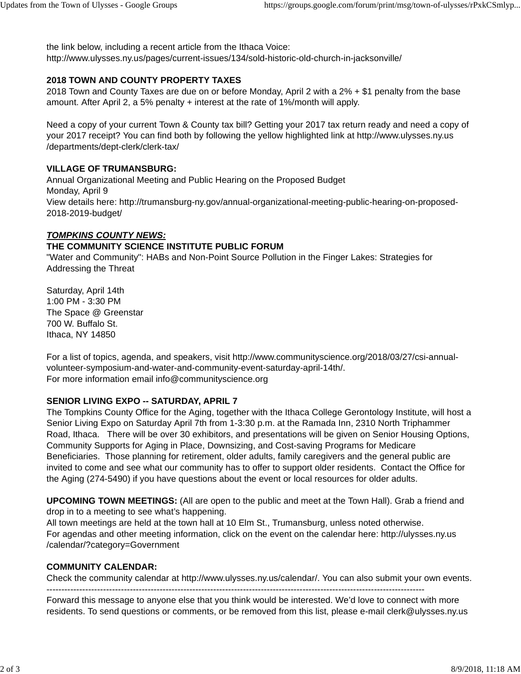the link below, including a recent article from the Ithaca Voice: http://www.ulysses.ny.us/pages/current-issues/134/sold-historic-old-church-in-jacksonville/

### **2018 TOWN AND COUNTY PROPERTY TAXES**

2018 Town and County Taxes are due on or before Monday, April 2 with a 2% + \$1 penalty from the base amount. After April 2, a 5% penalty + interest at the rate of 1%/month will apply.

Need a copy of your current Town & County tax bill? Getting your 2017 tax return ready and need a copy of your 2017 receipt? You can find both by following the yellow highlighted link at http://www.ulysses.ny.us /departments/dept-clerk/clerk-tax/

### **VILLAGE OF TRUMANSBURG:**

Annual Organizational Meeting and Public Hearing on the Proposed Budget Monday, April 9 View details here: http://trumansburg-ny.gov/annual-organizational-meeting-public-hearing-on-proposed-2018-2019-budget/

## *TOMPKINS COUNTY NEWS:*

## **THE COMMUNITY SCIENCE INSTITUTE PUBLIC FORUM**

"Water and Community": HABs and Non-Point Source Pollution in the Finger Lakes: Strategies for Addressing the Threat

Saturday, April 14th 1:00 PM - 3:30 PM The Space @ Greenstar 700 W. Buffalo St. Ithaca, NY 14850

For a list of topics, agenda, and speakers, visit http://www.communityscience.org/2018/03/27/csi-annualvolunteer-symposium-and-water-and-community-event-saturday-april-14th/. For more information email info@communityscience.org

### **SENIOR LIVING EXPO -- SATURDAY, APRIL 7**

The Tompkins County Office for the Aging, together with the Ithaca College Gerontology Institute, will host a Senior Living Expo on Saturday April 7th from 1-3:30 p.m. at the Ramada Inn, 2310 North Triphammer Road, Ithaca. There will be over 30 exhibitors, and presentations will be given on Senior Housing Options, Community Supports for Aging in Place, Downsizing, and Cost-saving Programs for Medicare Beneficiaries. Those planning for retirement, older adults, family caregivers and the general public are invited to come and see what our community has to offer to support older residents. Contact the Office for the Aging (274-5490) if you have questions about the event or local resources for older adults.

**UPCOMING TOWN MEETINGS:** (All are open to the public and meet at the Town Hall). Grab a friend and drop in to a meeting to see what's happening.

All town meetings are held at the town hall at 10 Elm St., Trumansburg, unless noted otherwise. For agendas and other meeting information, click on the event on the calendar here: http://ulysses.ny.us /calendar/?category=Government

### **COMMUNITY CALENDAR:**

Check the community calendar at http://www.ulysses.ny.us/calendar/. You can also submit your own events. -------------------------------------------------------------------------------------------------------------------------------

Forward this message to anyone else that you think would be interested. We'd love to connect with more residents. To send questions or comments, or be removed from this list, please e-mail clerk@ulysses.ny.us